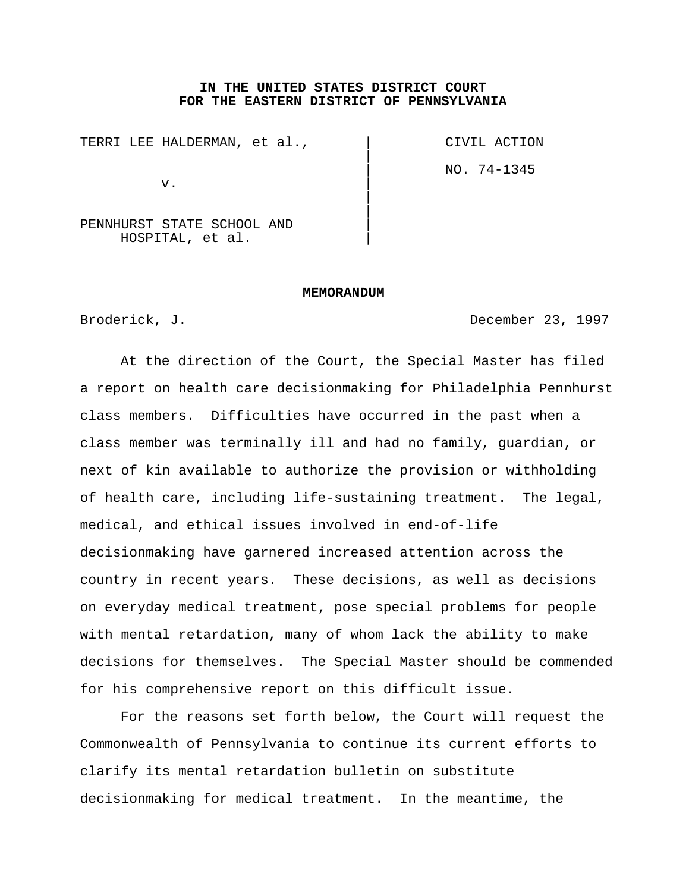### **IN THE UNITED STATES DISTRICT COURT FOR THE EASTERN DISTRICT OF PENNSYLVANIA**

 $\vert$ 

 $\vert$  $\overline{\phantom{a}}$ 

TERRI LEE HALDERMAN, et al.,  $\qquad \qquad$  CIVIL ACTION

 $\mathbf v$ .

| NO. 74-1345

PENNHURST STATE SCHOOL AND | HOSPITAL, et al. |

#### **MEMORANDUM**

Broderick, J. **Broderick, J. Broderick, J. Broderick**, December 23, 1997

At the direction of the Court, the Special Master has filed a report on health care decisionmaking for Philadelphia Pennhurst class members. Difficulties have occurred in the past when a class member was terminally ill and had no family, guardian, or next of kin available to authorize the provision or withholding of health care, including life-sustaining treatment. The legal, medical, and ethical issues involved in end-of-life decisionmaking have garnered increased attention across the country in recent years. These decisions, as well as decisions on everyday medical treatment, pose special problems for people with mental retardation, many of whom lack the ability to make decisions for themselves. The Special Master should be commended for his comprehensive report on this difficult issue.

For the reasons set forth below, the Court will request the Commonwealth of Pennsylvania to continue its current efforts to clarify its mental retardation bulletin on substitute decisionmaking for medical treatment. In the meantime, the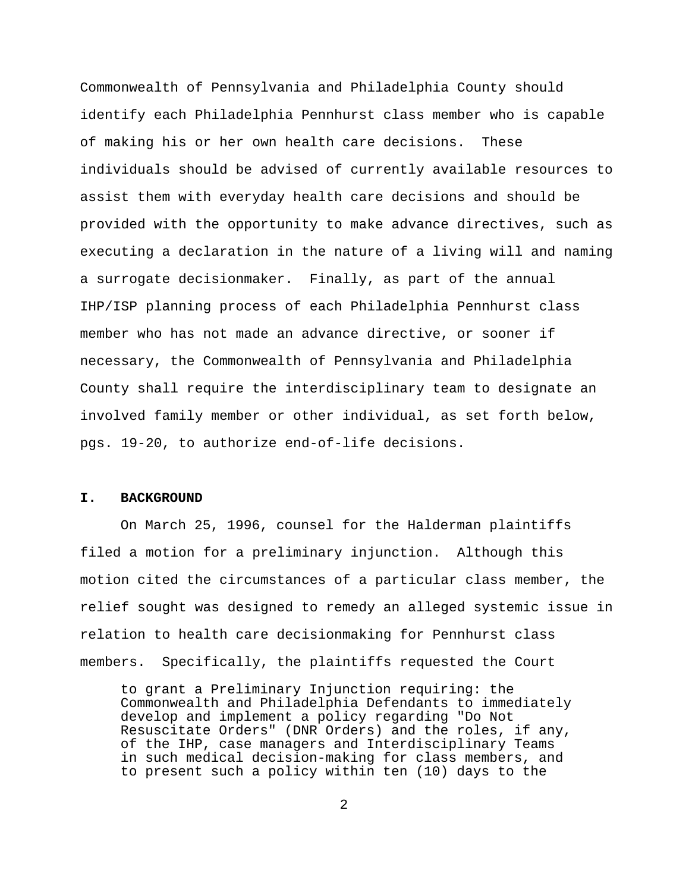Commonwealth of Pennsylvania and Philadelphia County should identify each Philadelphia Pennhurst class member who is capable of making his or her own health care decisions. These individuals should be advised of currently available resources to assist them with everyday health care decisions and should be provided with the opportunity to make advance directives, such as executing a declaration in the nature of a living will and naming a surrogate decisionmaker. Finally, as part of the annual IHP/ISP planning process of each Philadelphia Pennhurst class member who has not made an advance directive, or sooner if necessary, the Commonwealth of Pennsylvania and Philadelphia County shall require the interdisciplinary team to designate an involved family member or other individual, as set forth below, pgs. 19-20, to authorize end-of-life decisions.

### **I. BACKGROUND**

On March 25, 1996, counsel for the Halderman plaintiffs filed a motion for a preliminary injunction. Although this motion cited the circumstances of a particular class member, the relief sought was designed to remedy an alleged systemic issue in relation to health care decisionmaking for Pennhurst class members. Specifically, the plaintiffs requested the Court

to grant a Preliminary Injunction requiring: the Commonwealth and Philadelphia Defendants to immediately develop and implement a policy regarding "Do Not Resuscitate Orders" (DNR Orders) and the roles, if any, of the IHP, case managers and Interdisciplinary Teams in such medical decision-making for class members, and to present such a policy within ten (10) days to the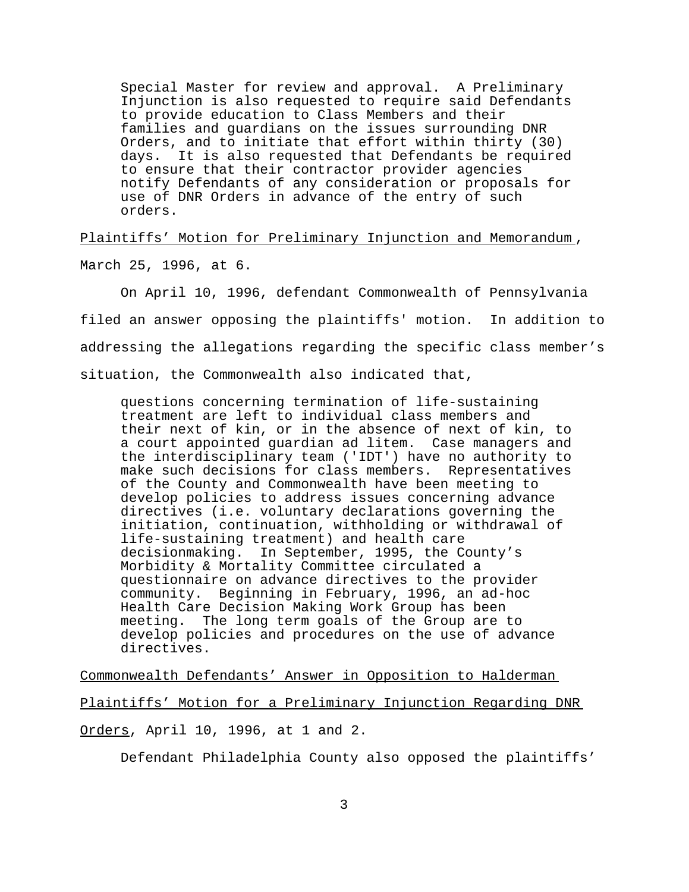Special Master for review and approval. A Preliminary Injunction is also requested to require said Defendants to provide education to Class Members and their families and guardians on the issues surrounding DNR Orders, and to initiate that effort within thirty (30) days. It is also requested that Defendants be required to ensure that their contractor provider agencies notify Defendants of any consideration or proposals for use of DNR Orders in advance of the entry of such orders.

Plaintiffs' Motion for Preliminary Injunction and Memorandum , March 25, 1996, at 6.

On April 10, 1996, defendant Commonwealth of Pennsylvania filed an answer opposing the plaintiffs' motion. In addition to addressing the allegations regarding the specific class member's situation, the Commonwealth also indicated that,

questions concerning termination of life-sustaining treatment are left to individual class members and their next of kin, or in the absence of next of kin, to a court appointed guardian ad litem. Case managers and the interdisciplinary team ('IDT') have no authority to make such decisions for class members. Representatives of the County and Commonwealth have been meeting to develop policies to address issues concerning advance directives (i.e. voluntary declarations governing the initiation, continuation, withholding or withdrawal of life-sustaining treatment) and health care decisionmaking. In September, 1995, the County's Morbidity & Mortality Committee circulated a questionnaire on advance directives to the provider community. Beginning in February, 1996, an ad-hoc Health Care Decision Making Work Group has been meeting. The long term goals of the Group are to develop policies and procedures on the use of advance directives.

Commonwealth Defendants' Answer in Opposition to Halderman

Plaintiffs' Motion for a Preliminary Injunction Regarding DNR

Orders, April 10, 1996, at 1 and 2.

Defendant Philadelphia County also opposed the plaintiffs'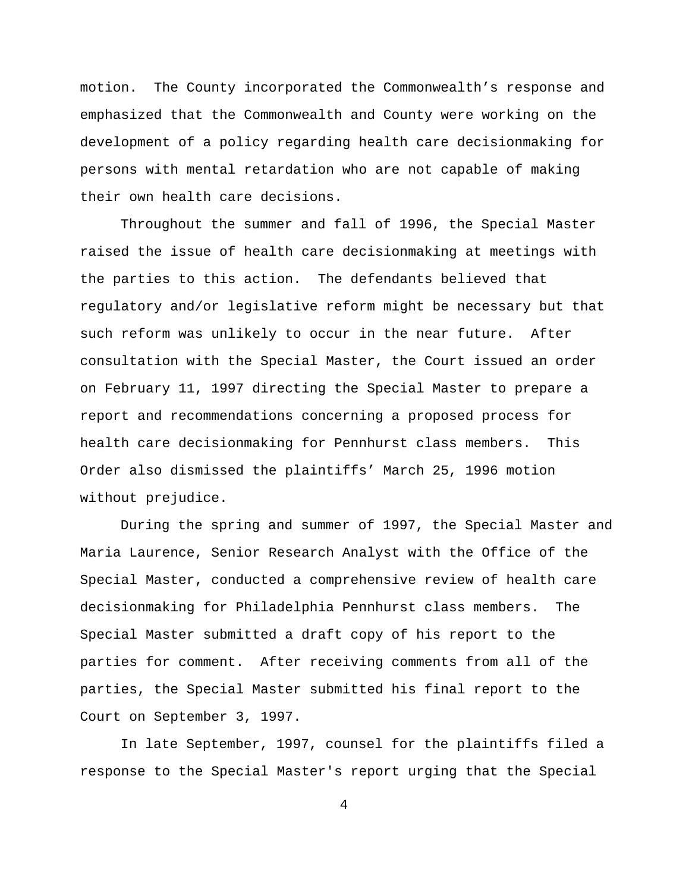motion. The County incorporated the Commonwealth's response and emphasized that the Commonwealth and County were working on the development of a policy regarding health care decisionmaking for persons with mental retardation who are not capable of making their own health care decisions.

Throughout the summer and fall of 1996, the Special Master raised the issue of health care decisionmaking at meetings with the parties to this action. The defendants believed that regulatory and/or legislative reform might be necessary but that such reform was unlikely to occur in the near future. After consultation with the Special Master, the Court issued an order on February 11, 1997 directing the Special Master to prepare a report and recommendations concerning a proposed process for health care decisionmaking for Pennhurst class members. This Order also dismissed the plaintiffs' March 25, 1996 motion without prejudice.

During the spring and summer of 1997, the Special Master and Maria Laurence, Senior Research Analyst with the Office of the Special Master, conducted a comprehensive review of health care decisionmaking for Philadelphia Pennhurst class members. The Special Master submitted a draft copy of his report to the parties for comment. After receiving comments from all of the parties, the Special Master submitted his final report to the Court on September 3, 1997.

In late September, 1997, counsel for the plaintiffs filed a response to the Special Master's report urging that the Special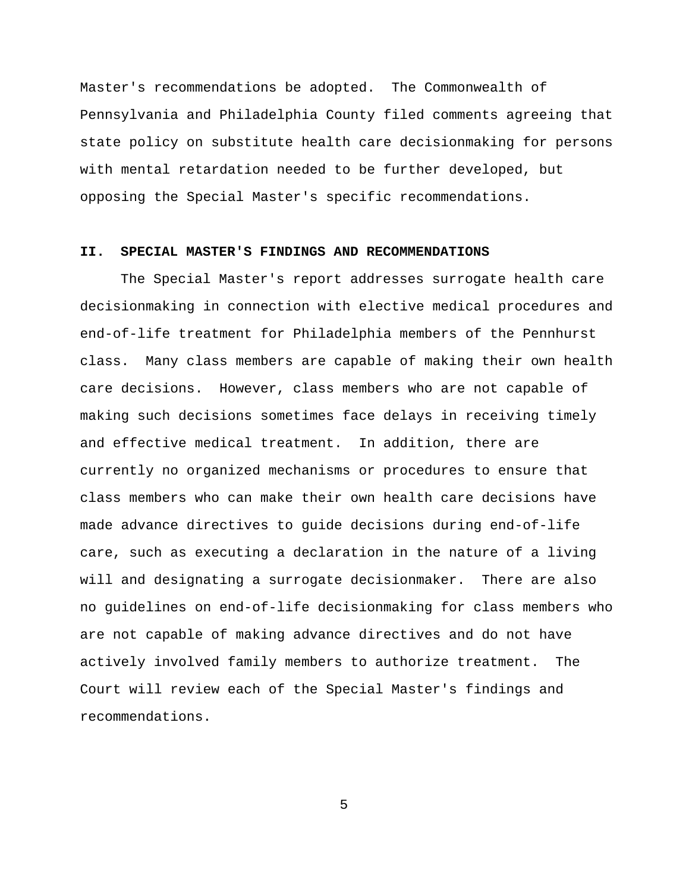Master's recommendations be adopted. The Commonwealth of Pennsylvania and Philadelphia County filed comments agreeing that state policy on substitute health care decisionmaking for persons with mental retardation needed to be further developed, but opposing the Special Master's specific recommendations.

### **II. SPECIAL MASTER'S FINDINGS AND RECOMMENDATIONS**

The Special Master's report addresses surrogate health care decisionmaking in connection with elective medical procedures and end-of-life treatment for Philadelphia members of the Pennhurst class. Many class members are capable of making their own health care decisions. However, class members who are not capable of making such decisions sometimes face delays in receiving timely and effective medical treatment. In addition, there are currently no organized mechanisms or procedures to ensure that class members who can make their own health care decisions have made advance directives to guide decisions during end-of-life care, such as executing a declaration in the nature of a living will and designating a surrogate decisionmaker. There are also no guidelines on end-of-life decisionmaking for class members who are not capable of making advance directives and do not have actively involved family members to authorize treatment. The Court will review each of the Special Master's findings and recommendations.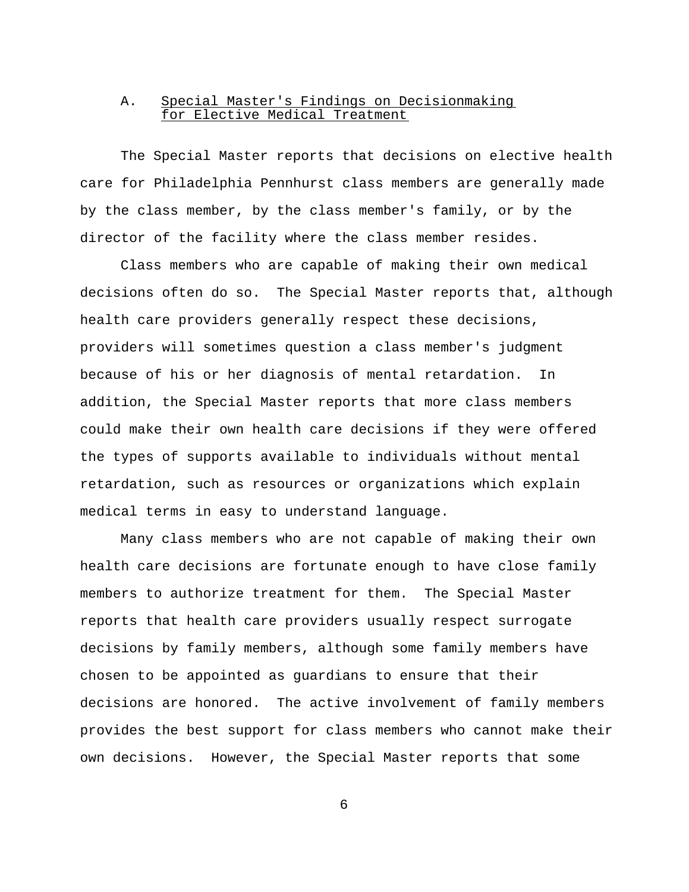## A. Special Master's Findings on Decisionmaking for Elective Medical Treatment

The Special Master reports that decisions on elective health care for Philadelphia Pennhurst class members are generally made by the class member, by the class member's family, or by the director of the facility where the class member resides.

Class members who are capable of making their own medical decisions often do so. The Special Master reports that, although health care providers generally respect these decisions, providers will sometimes question a class member's judgment because of his or her diagnosis of mental retardation. In addition, the Special Master reports that more class members could make their own health care decisions if they were offered the types of supports available to individuals without mental retardation, such as resources or organizations which explain medical terms in easy to understand language.

Many class members who are not capable of making their own health care decisions are fortunate enough to have close family members to authorize treatment for them. The Special Master reports that health care providers usually respect surrogate decisions by family members, although some family members have chosen to be appointed as guardians to ensure that their decisions are honored. The active involvement of family members provides the best support for class members who cannot make their own decisions. However, the Special Master reports that some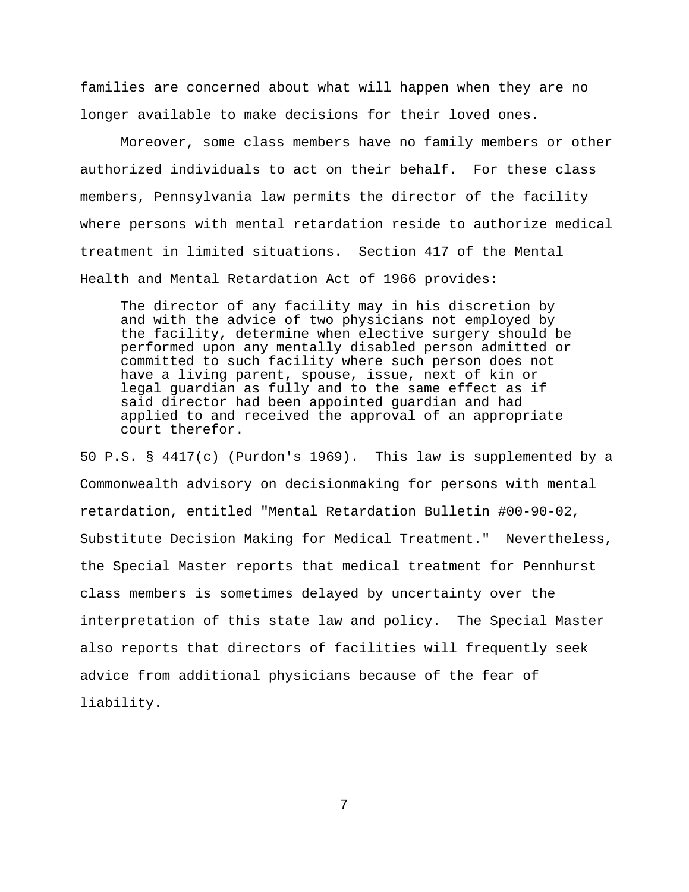families are concerned about what will happen when they are no longer available to make decisions for their loved ones.

Moreover, some class members have no family members or other authorized individuals to act on their behalf. For these class members, Pennsylvania law permits the director of the facility where persons with mental retardation reside to authorize medical treatment in limited situations. Section 417 of the Mental Health and Mental Retardation Act of 1966 provides:

The director of any facility may in his discretion by and with the advice of two physicians not employed by the facility, determine when elective surgery should be performed upon any mentally disabled person admitted or committed to such facility where such person does not have a living parent, spouse, issue, next of kin or legal guardian as fully and to the same effect as if said director had been appointed guardian and had applied to and received the approval of an appropriate court therefor.

50 P.S. § 4417(c) (Purdon's 1969). This law is supplemented by a Commonwealth advisory on decisionmaking for persons with mental retardation, entitled "Mental Retardation Bulletin #00-90-02, Substitute Decision Making for Medical Treatment." Nevertheless, the Special Master reports that medical treatment for Pennhurst class members is sometimes delayed by uncertainty over the interpretation of this state law and policy. The Special Master also reports that directors of facilities will frequently seek advice from additional physicians because of the fear of liability.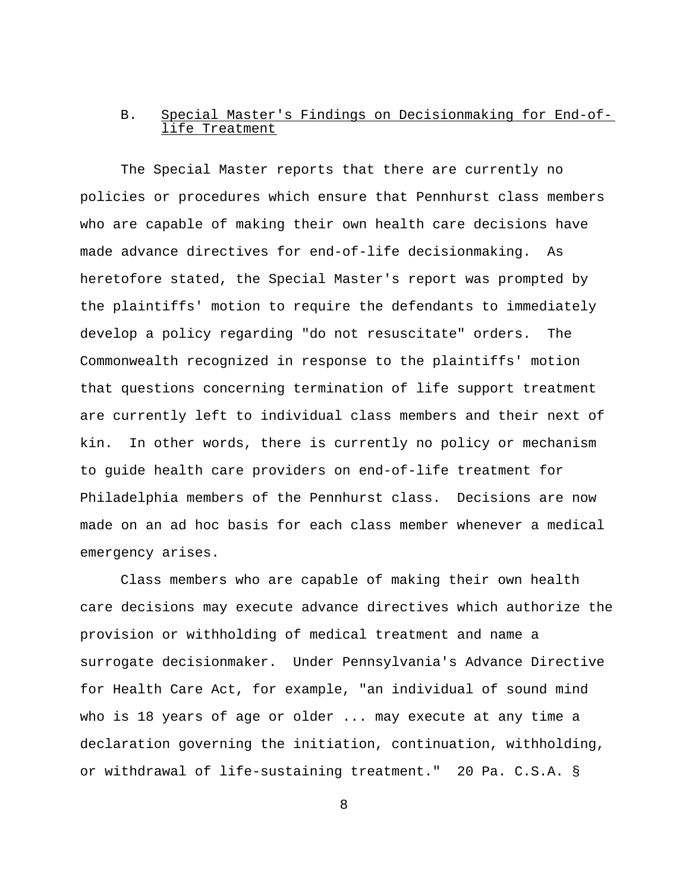# B. Special Master's Findings on Decisionmaking for End-oflife Treatment

The Special Master reports that there are currently no policies or procedures which ensure that Pennhurst class members who are capable of making their own health care decisions have made advance directives for end-of-life decisionmaking. As heretofore stated, the Special Master's report was prompted by the plaintiffs' motion to require the defendants to immediately develop a policy regarding "do not resuscitate" orders. The Commonwealth recognized in response to the plaintiffs' motion that questions concerning termination of life support treatment are currently left to individual class members and their next of kin. In other words, there is currently no policy or mechanism to guide health care providers on end-of-life treatment for Philadelphia members of the Pennhurst class. Decisions are now made on an ad hoc basis for each class member whenever a medical emergency arises.

Class members who are capable of making their own health care decisions may execute advance directives which authorize the provision or withholding of medical treatment and name a surrogate decisionmaker. Under Pennsylvania's Advance Directive for Health Care Act, for example, "an individual of sound mind who is 18 years of age or older ... may execute at any time a declaration governing the initiation, continuation, withholding, or withdrawal of life-sustaining treatment." 20 Pa. C.S.A. §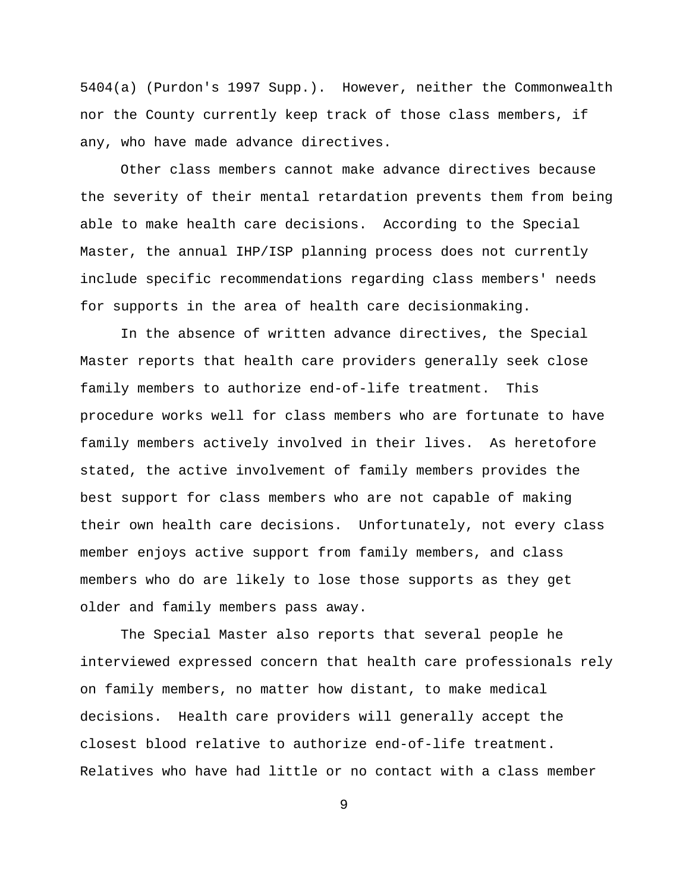5404(a) (Purdon's 1997 Supp.). However, neither the Commonwealth nor the County currently keep track of those class members, if any, who have made advance directives.

Other class members cannot make advance directives because the severity of their mental retardation prevents them from being able to make health care decisions. According to the Special Master, the annual IHP/ISP planning process does not currently include specific recommendations regarding class members' needs for supports in the area of health care decisionmaking.

In the absence of written advance directives, the Special Master reports that health care providers generally seek close family members to authorize end-of-life treatment. This procedure works well for class members who are fortunate to have family members actively involved in their lives. As heretofore stated, the active involvement of family members provides the best support for class members who are not capable of making their own health care decisions. Unfortunately, not every class member enjoys active support from family members, and class members who do are likely to lose those supports as they get older and family members pass away.

The Special Master also reports that several people he interviewed expressed concern that health care professionals rely on family members, no matter how distant, to make medical decisions. Health care providers will generally accept the closest blood relative to authorize end-of-life treatment. Relatives who have had little or no contact with a class member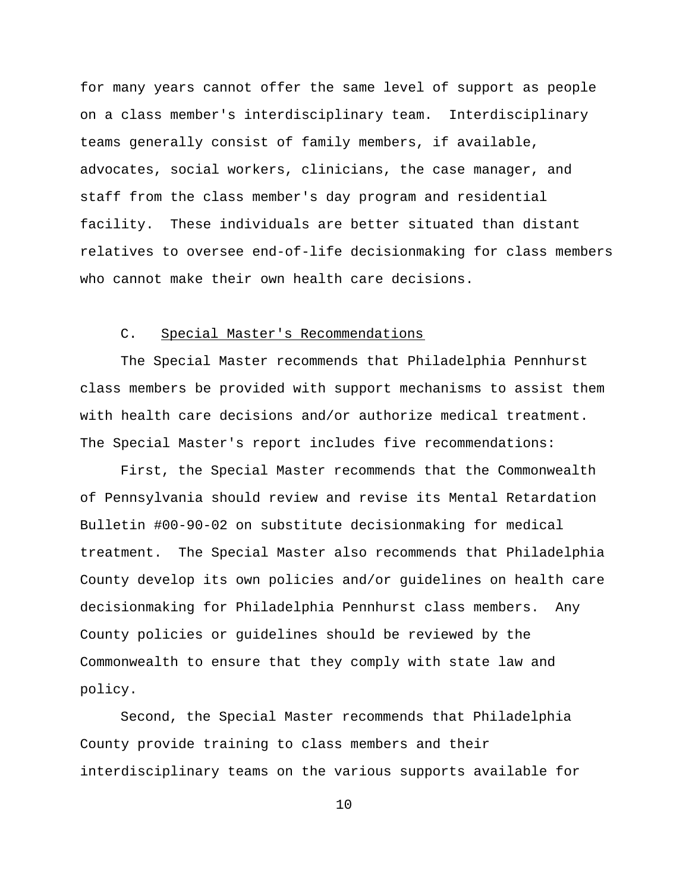for many years cannot offer the same level of support as people on a class member's interdisciplinary team. Interdisciplinary teams generally consist of family members, if available, advocates, social workers, clinicians, the case manager, and staff from the class member's day program and residential facility. These individuals are better situated than distant relatives to oversee end-of-life decisionmaking for class members who cannot make their own health care decisions.

## C. Special Master's Recommendations

The Special Master recommends that Philadelphia Pennhurst class members be provided with support mechanisms to assist them with health care decisions and/or authorize medical treatment. The Special Master's report includes five recommendations:

First, the Special Master recommends that the Commonwealth of Pennsylvania should review and revise its Mental Retardation Bulletin #00-90-02 on substitute decisionmaking for medical treatment. The Special Master also recommends that Philadelphia County develop its own policies and/or guidelines on health care decisionmaking for Philadelphia Pennhurst class members. Any County policies or guidelines should be reviewed by the Commonwealth to ensure that they comply with state law and policy.

Second, the Special Master recommends that Philadelphia County provide training to class members and their interdisciplinary teams on the various supports available for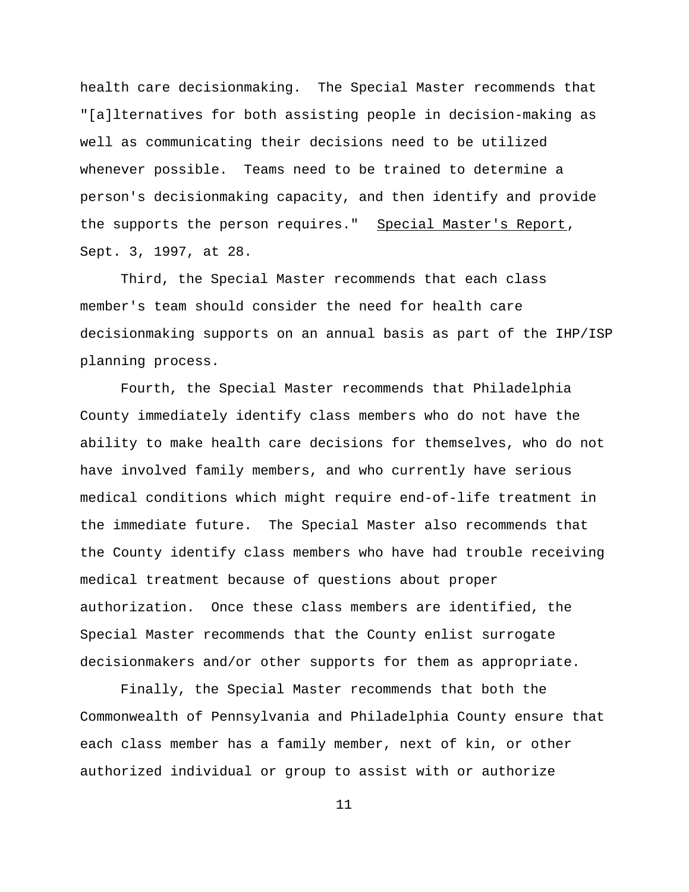health care decisionmaking. The Special Master recommends that "[a]lternatives for both assisting people in decision-making as well as communicating their decisions need to be utilized whenever possible. Teams need to be trained to determine a person's decisionmaking capacity, and then identify and provide the supports the person requires." Special Master's Report, Sept. 3, 1997, at 28.

Third, the Special Master recommends that each class member's team should consider the need for health care decisionmaking supports on an annual basis as part of the IHP/ISP planning process.

Fourth, the Special Master recommends that Philadelphia County immediately identify class members who do not have the ability to make health care decisions for themselves, who do not have involved family members, and who currently have serious medical conditions which might require end-of-life treatment in the immediate future. The Special Master also recommends that the County identify class members who have had trouble receiving medical treatment because of questions about proper authorization. Once these class members are identified, the Special Master recommends that the County enlist surrogate decisionmakers and/or other supports for them as appropriate.

Finally, the Special Master recommends that both the Commonwealth of Pennsylvania and Philadelphia County ensure that each class member has a family member, next of kin, or other authorized individual or group to assist with or authorize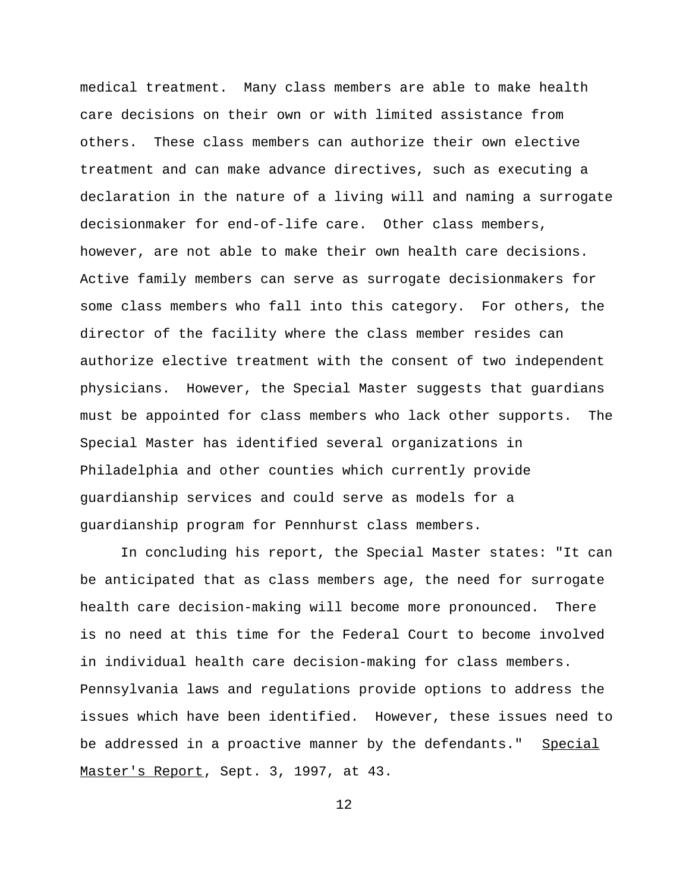medical treatment. Many class members are able to make health care decisions on their own or with limited assistance from others. These class members can authorize their own elective treatment and can make advance directives, such as executing a declaration in the nature of a living will and naming a surrogate decisionmaker for end-of-life care. Other class members, however, are not able to make their own health care decisions. Active family members can serve as surrogate decisionmakers for some class members who fall into this category. For others, the director of the facility where the class member resides can authorize elective treatment with the consent of two independent physicians. However, the Special Master suggests that guardians must be appointed for class members who lack other supports. The Special Master has identified several organizations in Philadelphia and other counties which currently provide guardianship services and could serve as models for a guardianship program for Pennhurst class members.

In concluding his report, the Special Master states: "It can be anticipated that as class members age, the need for surrogate health care decision-making will become more pronounced. There is no need at this time for the Federal Court to become involved in individual health care decision-making for class members. Pennsylvania laws and regulations provide options to address the issues which have been identified. However, these issues need to be addressed in a proactive manner by the defendants." Special Master's Report, Sept. 3, 1997, at 43.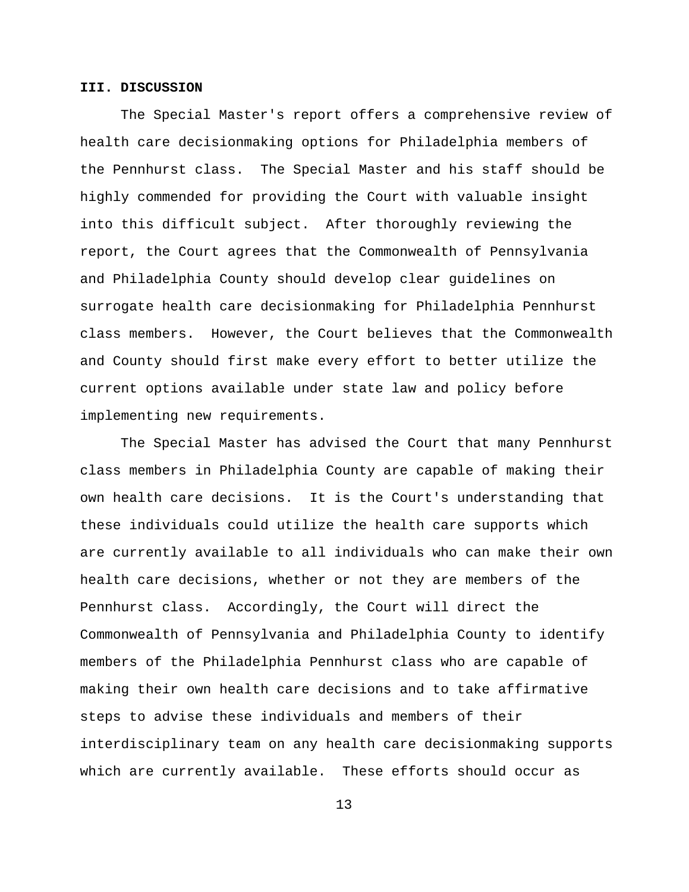### **III. DISCUSSION**

The Special Master's report offers a comprehensive review of health care decisionmaking options for Philadelphia members of the Pennhurst class. The Special Master and his staff should be highly commended for providing the Court with valuable insight into this difficult subject. After thoroughly reviewing the report, the Court agrees that the Commonwealth of Pennsylvania and Philadelphia County should develop clear guidelines on surrogate health care decisionmaking for Philadelphia Pennhurst class members. However, the Court believes that the Commonwealth and County should first make every effort to better utilize the current options available under state law and policy before implementing new requirements.

The Special Master has advised the Court that many Pennhurst class members in Philadelphia County are capable of making their own health care decisions. It is the Court's understanding that these individuals could utilize the health care supports which are currently available to all individuals who can make their own health care decisions, whether or not they are members of the Pennhurst class. Accordingly, the Court will direct the Commonwealth of Pennsylvania and Philadelphia County to identify members of the Philadelphia Pennhurst class who are capable of making their own health care decisions and to take affirmative steps to advise these individuals and members of their interdisciplinary team on any health care decisionmaking supports which are currently available. These efforts should occur as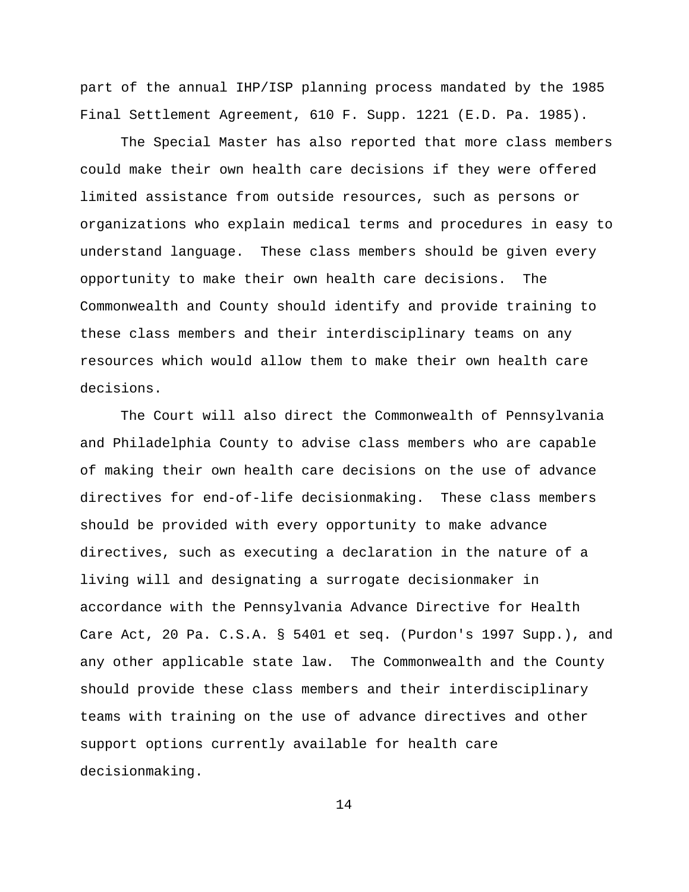part of the annual IHP/ISP planning process mandated by the 1985 Final Settlement Agreement, 610 F. Supp. 1221 (E.D. Pa. 1985).

The Special Master has also reported that more class members could make their own health care decisions if they were offered limited assistance from outside resources, such as persons or organizations who explain medical terms and procedures in easy to understand language. These class members should be given every opportunity to make their own health care decisions. The Commonwealth and County should identify and provide training to these class members and their interdisciplinary teams on any resources which would allow them to make their own health care decisions.

The Court will also direct the Commonwealth of Pennsylvania and Philadelphia County to advise class members who are capable of making their own health care decisions on the use of advance directives for end-of-life decisionmaking. These class members should be provided with every opportunity to make advance directives, such as executing a declaration in the nature of a living will and designating a surrogate decisionmaker in accordance with the Pennsylvania Advance Directive for Health Care Act, 20 Pa. C.S.A. § 5401 et seq. (Purdon's 1997 Supp.), and any other applicable state law. The Commonwealth and the County should provide these class members and their interdisciplinary teams with training on the use of advance directives and other support options currently available for health care decisionmaking.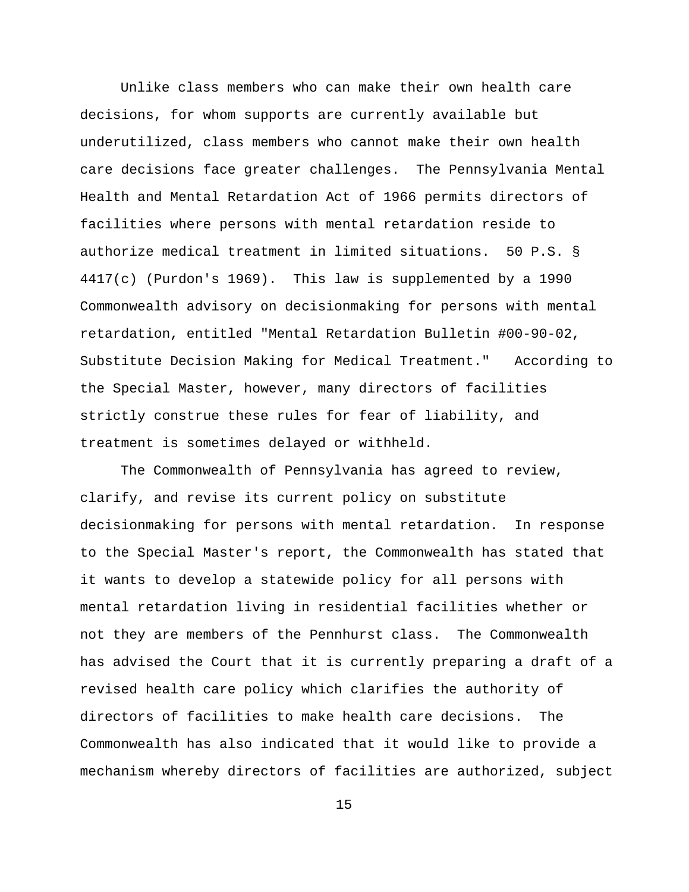Unlike class members who can make their own health care decisions, for whom supports are currently available but underutilized, class members who cannot make their own health care decisions face greater challenges. The Pennsylvania Mental Health and Mental Retardation Act of 1966 permits directors of facilities where persons with mental retardation reside to authorize medical treatment in limited situations. 50 P.S. § 4417(c) (Purdon's 1969). This law is supplemented by a 1990 Commonwealth advisory on decisionmaking for persons with mental retardation, entitled "Mental Retardation Bulletin #00-90-02, Substitute Decision Making for Medical Treatment." According to the Special Master, however, many directors of facilities strictly construe these rules for fear of liability, and treatment is sometimes delayed or withheld.

The Commonwealth of Pennsylvania has agreed to review, clarify, and revise its current policy on substitute decisionmaking for persons with mental retardation. In response to the Special Master's report, the Commonwealth has stated that it wants to develop a statewide policy for all persons with mental retardation living in residential facilities whether or not they are members of the Pennhurst class. The Commonwealth has advised the Court that it is currently preparing a draft of a revised health care policy which clarifies the authority of directors of facilities to make health care decisions. The Commonwealth has also indicated that it would like to provide a mechanism whereby directors of facilities are authorized, subject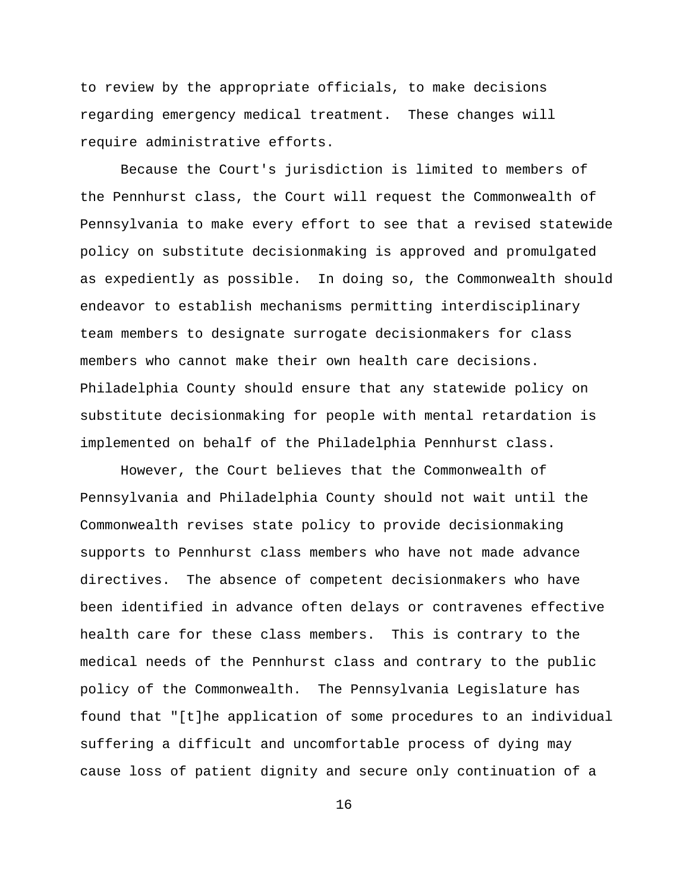to review by the appropriate officials, to make decisions regarding emergency medical treatment. These changes will require administrative efforts.

Because the Court's jurisdiction is limited to members of the Pennhurst class, the Court will request the Commonwealth of Pennsylvania to make every effort to see that a revised statewide policy on substitute decisionmaking is approved and promulgated as expediently as possible. In doing so, the Commonwealth should endeavor to establish mechanisms permitting interdisciplinary team members to designate surrogate decisionmakers for class members who cannot make their own health care decisions. Philadelphia County should ensure that any statewide policy on substitute decisionmaking for people with mental retardation is implemented on behalf of the Philadelphia Pennhurst class.

However, the Court believes that the Commonwealth of Pennsylvania and Philadelphia County should not wait until the Commonwealth revises state policy to provide decisionmaking supports to Pennhurst class members who have not made advance directives. The absence of competent decisionmakers who have been identified in advance often delays or contravenes effective health care for these class members. This is contrary to the medical needs of the Pennhurst class and contrary to the public policy of the Commonwealth. The Pennsylvania Legislature has found that "[t]he application of some procedures to an individual suffering a difficult and uncomfortable process of dying may cause loss of patient dignity and secure only continuation of a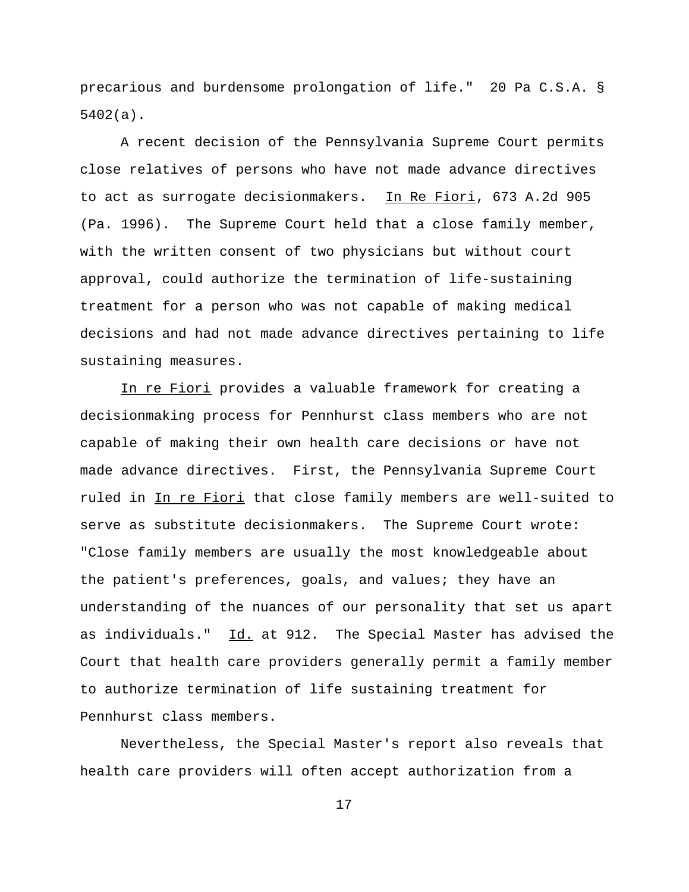precarious and burdensome prolongation of life." 20 Pa C.S.A. § 5402(a).

A recent decision of the Pennsylvania Supreme Court permits close relatives of persons who have not made advance directives to act as surrogate decisionmakers. In Re Fiori, 673 A.2d 905 (Pa. 1996). The Supreme Court held that a close family member, with the written consent of two physicians but without court approval, could authorize the termination of life-sustaining treatment for a person who was not capable of making medical decisions and had not made advance directives pertaining to life sustaining measures.

In re Fiori provides a valuable framework for creating a decisionmaking process for Pennhurst class members who are not capable of making their own health care decisions or have not made advance directives. First, the Pennsylvania Supreme Court ruled in In re Fiori that close family members are well-suited to serve as substitute decisionmakers. The Supreme Court wrote: "Close family members are usually the most knowledgeable about the patient's preferences, goals, and values; they have an understanding of the nuances of our personality that set us apart as individuals." Id. at 912. The Special Master has advised the Court that health care providers generally permit a family member to authorize termination of life sustaining treatment for Pennhurst class members.

Nevertheless, the Special Master's report also reveals that health care providers will often accept authorization from a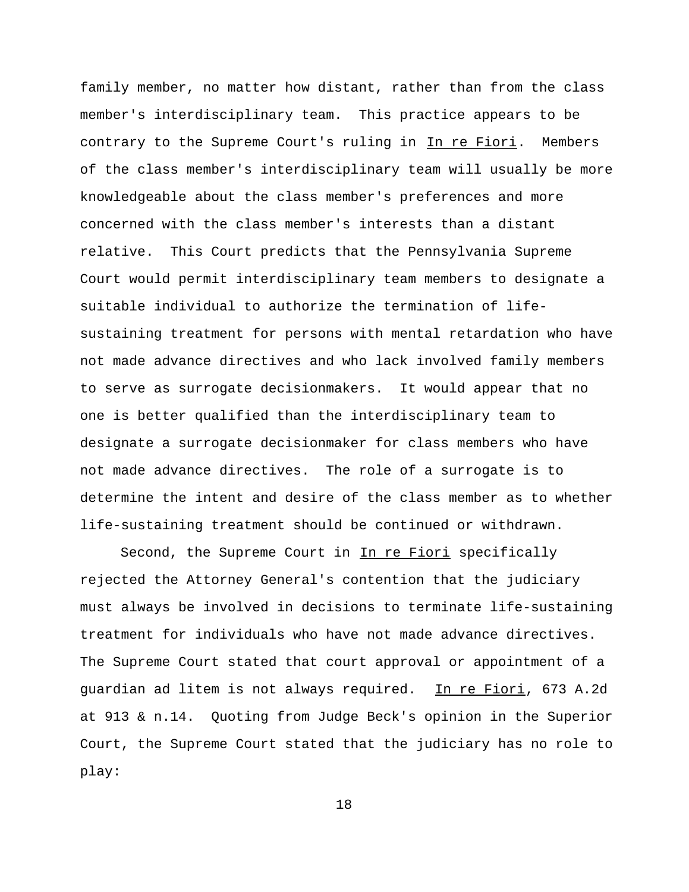family member, no matter how distant, rather than from the class member's interdisciplinary team. This practice appears to be contrary to the Supreme Court's ruling in In re Fiori. Members of the class member's interdisciplinary team will usually be more knowledgeable about the class member's preferences and more concerned with the class member's interests than a distant relative. This Court predicts that the Pennsylvania Supreme Court would permit interdisciplinary team members to designate a suitable individual to authorize the termination of lifesustaining treatment for persons with mental retardation who have not made advance directives and who lack involved family members to serve as surrogate decisionmakers. It would appear that no one is better qualified than the interdisciplinary team to designate a surrogate decisionmaker for class members who have not made advance directives. The role of a surrogate is to determine the intent and desire of the class member as to whether life-sustaining treatment should be continued or withdrawn.

Second, the Supreme Court in In re Fiori specifically rejected the Attorney General's contention that the judiciary must always be involved in decisions to terminate life-sustaining treatment for individuals who have not made advance directives. The Supreme Court stated that court approval or appointment of a guardian ad litem is not always required. In re Fiori, 673 A.2d at 913 & n.14. Quoting from Judge Beck's opinion in the Superior Court, the Supreme Court stated that the judiciary has no role to play: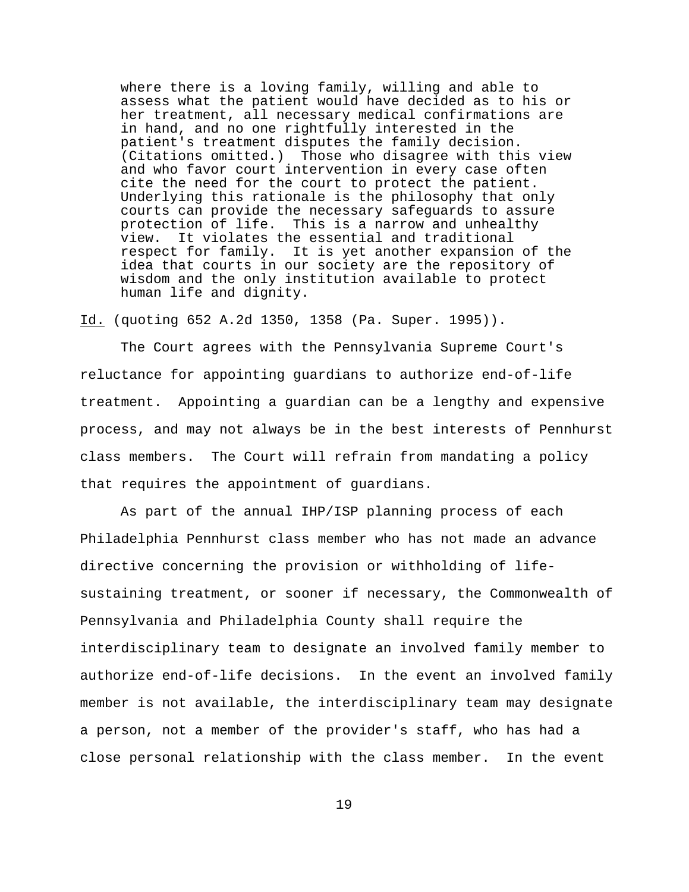where there is a loving family, willing and able to assess what the patient would have decided as to his or her treatment, all necessary medical confirmations are in hand, and no one rightfully interested in the patient's treatment disputes the family decision. (Citations omitted.) Those who disagree with this view and who favor court intervention in every case often cite the need for the court to protect the patient. Underlying this rationale is the philosophy that only courts can provide the necessary safeguards to assure protection of life. This is a narrow and unhealthy view. It violates the essential and traditional respect for family. It is yet another expansion of the idea that courts in our society are the repository of wisdom and the only institution available to protect human life and dignity.

Id. (quoting 652 A.2d 1350, 1358 (Pa. Super. 1995)).

The Court agrees with the Pennsylvania Supreme Court's reluctance for appointing guardians to authorize end-of-life treatment. Appointing a guardian can be a lengthy and expensive process, and may not always be in the best interests of Pennhurst class members. The Court will refrain from mandating a policy that requires the appointment of guardians.

As part of the annual IHP/ISP planning process of each Philadelphia Pennhurst class member who has not made an advance directive concerning the provision or withholding of lifesustaining treatment, or sooner if necessary, the Commonwealth of Pennsylvania and Philadelphia County shall require the interdisciplinary team to designate an involved family member to authorize end-of-life decisions. In the event an involved family member is not available, the interdisciplinary team may designate a person, not a member of the provider's staff, who has had a close personal relationship with the class member. In the event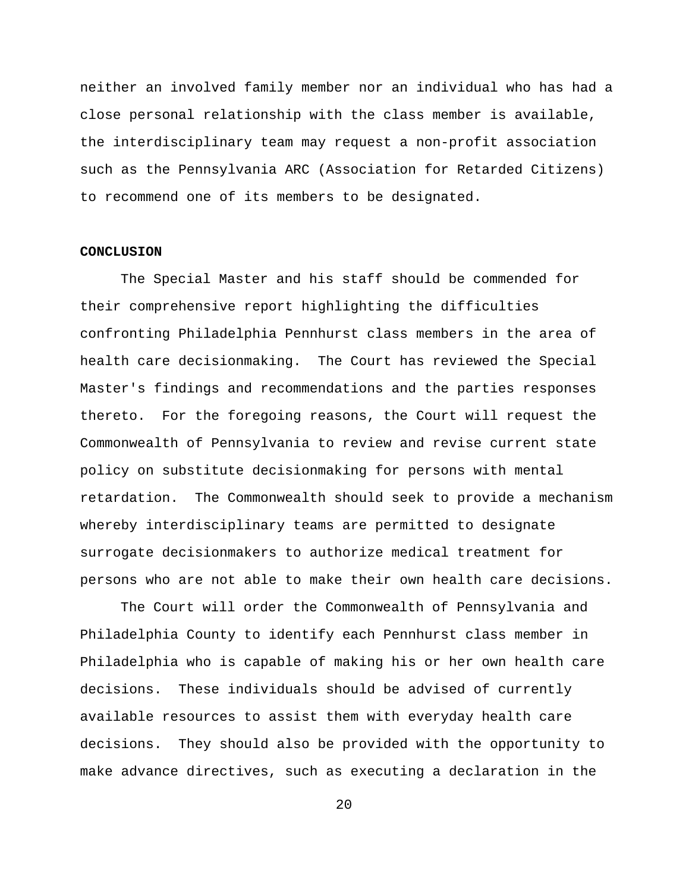neither an involved family member nor an individual who has had a close personal relationship with the class member is available, the interdisciplinary team may request a non-profit association such as the Pennsylvania ARC (Association for Retarded Citizens) to recommend one of its members to be designated.

### **CONCLUSION**

The Special Master and his staff should be commended for their comprehensive report highlighting the difficulties confronting Philadelphia Pennhurst class members in the area of health care decisionmaking. The Court has reviewed the Special Master's findings and recommendations and the parties responses thereto. For the foregoing reasons, the Court will request the Commonwealth of Pennsylvania to review and revise current state policy on substitute decisionmaking for persons with mental retardation. The Commonwealth should seek to provide a mechanism whereby interdisciplinary teams are permitted to designate surrogate decisionmakers to authorize medical treatment for persons who are not able to make their own health care decisions.

The Court will order the Commonwealth of Pennsylvania and Philadelphia County to identify each Pennhurst class member in Philadelphia who is capable of making his or her own health care decisions. These individuals should be advised of currently available resources to assist them with everyday health care decisions. They should also be provided with the opportunity to make advance directives, such as executing a declaration in the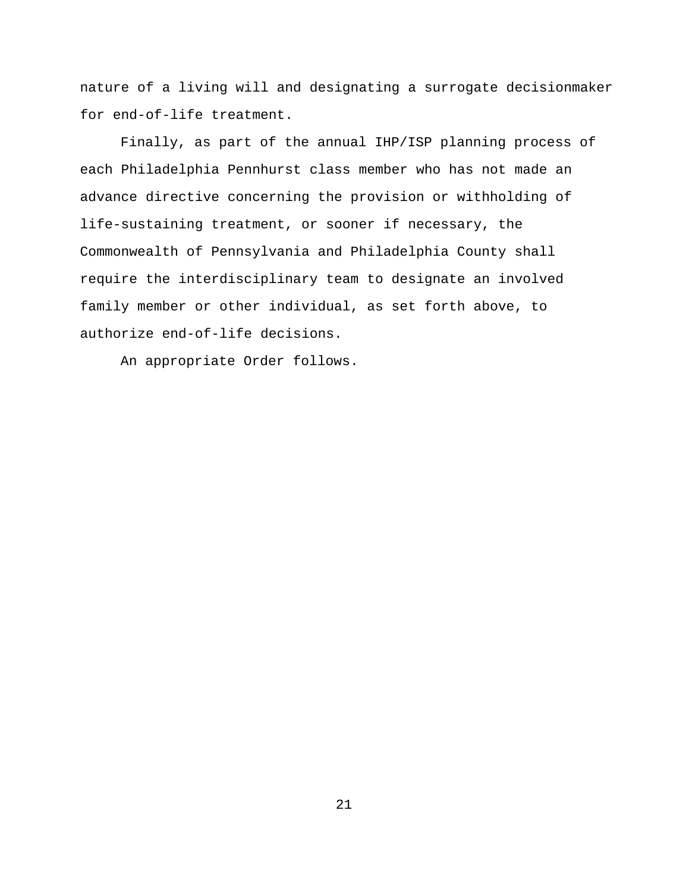nature of a living will and designating a surrogate decisionmaker for end-of-life treatment.

Finally, as part of the annual IHP/ISP planning process of each Philadelphia Pennhurst class member who has not made an advance directive concerning the provision or withholding of life-sustaining treatment, or sooner if necessary, the Commonwealth of Pennsylvania and Philadelphia County shall require the interdisciplinary team to designate an involved family member or other individual, as set forth above, to authorize end-of-life decisions.

An appropriate Order follows.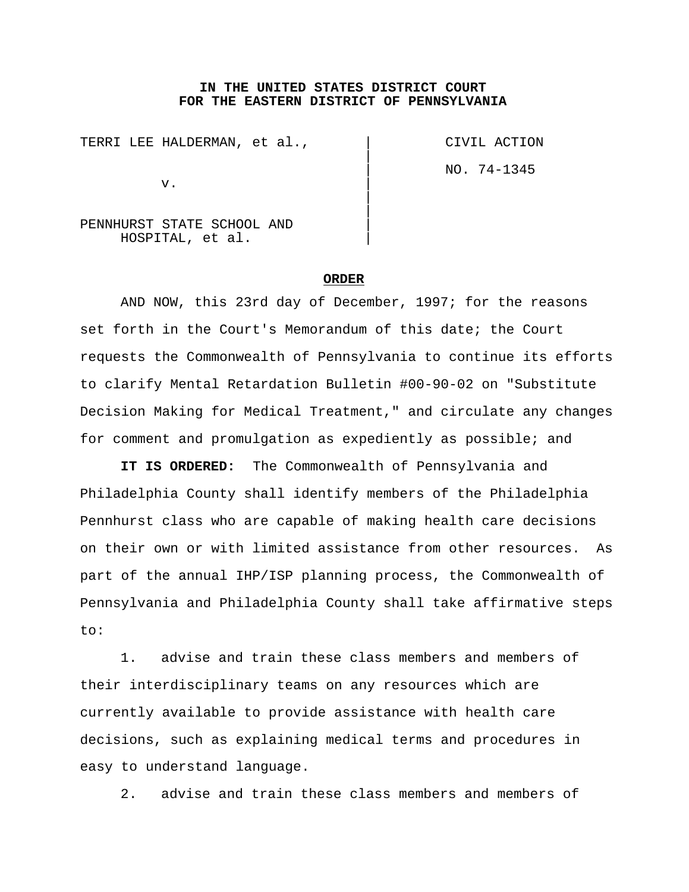### **IN THE UNITED STATES DISTRICT COURT FOR THE EASTERN DISTRICT OF PENNSYLVANIA**

 $\vert$ 

 $\vert$  $\overline{\phantom{a}}$ 

TERRI LEE HALDERMAN, et al.,  $\qquad \qquad$  CIVIL ACTION

 $\mathbf v$ .

| NO. 74-1345

PENNHURST STATE SCHOOL AND | HOSPITAL, et al. |

#### **ORDER**

AND NOW, this 23rd day of December, 1997; for the reasons set forth in the Court's Memorandum of this date; the Court requests the Commonwealth of Pennsylvania to continue its efforts to clarify Mental Retardation Bulletin #00-90-02 on "Substitute Decision Making for Medical Treatment," and circulate any changes for comment and promulgation as expediently as possible; and

**IT IS ORDERED:** The Commonwealth of Pennsylvania and Philadelphia County shall identify members of the Philadelphia Pennhurst class who are capable of making health care decisions on their own or with limited assistance from other resources. As part of the annual IHP/ISP planning process, the Commonwealth of Pennsylvania and Philadelphia County shall take affirmative steps to:

1. advise and train these class members and members of their interdisciplinary teams on any resources which are currently available to provide assistance with health care decisions, such as explaining medical terms and procedures in easy to understand language.

2. advise and train these class members and members of